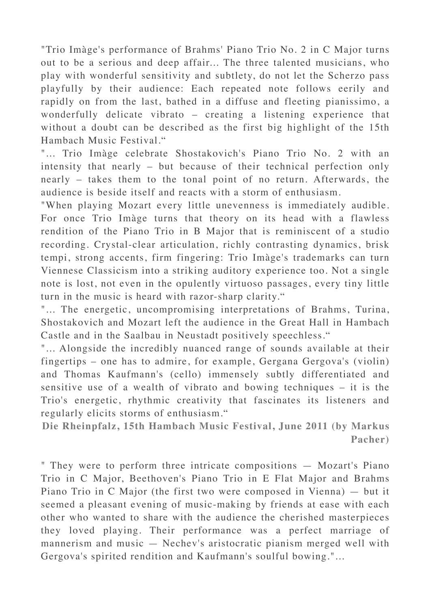"Trio Imàge's performance of Brahms' Piano Trio No. 2 in C Major turns out to be a serious and deep affair... The three talented musicians, who play with wonderful sensitivity and subtlety, do not let the Scherzo pass playfully by their audience: Each repeated note follows eerily and rapidly on from the last, bathed in a diffuse and fleeting pianissimo, a wonderfully delicate vibrato – creating a listening experience that without a doubt can be described as the first big highlight of the 15th Hambach Music Festival."

"... Trio Imàge celebrate Shostakovich's Piano Trio No. 2 with an intensity that nearly – but because of their technical perfection only nearly – takes them to the tonal point of no return. Afterwards, the audience is beside itself and reacts with a storm of enthusiasm.

"When playing Mozart every little unevenness is immediately audible. For once Trio Imàge turns that theory on its head with a flawless rendition of the Piano Trio in B Major that is reminiscent of a studio recording. Crystal-clear articulation, richly contrasting dynamics, brisk tempi, strong accents, firm fingering: Trio Imàge's trademarks can turn Viennese Classicism into a striking auditory experience too. Not a single note is lost, not even in the opulently virtuoso passages, every tiny little turn in the music is heard with razor-sharp clarity."

"... The energetic, uncompromising interpretations of Brahms, Turina, Shostakovich and Mozart left the audience in the Great Hall in Hambach Castle and in the Saalbau in Neustadt positively speechless."

"... Alongside the incredibly nuanced range of sounds available at their fingertips – one has to admire, for example, Gergana Gergova's (violin) and Thomas Kaufmann's (cello) immensely subtly differentiated and sensitive use of a wealth of vibrato and bowing techniques – it is the Trio's energetic, rhythmic creativity that fascinates its listeners and regularly elicits storms of enthusiasm."

**Die Rheinpfalz, 15th Hambach Music Festival, June 2011 (by Markus Pacher)**

" They were to perform three intricate compositions — Mozart's Piano Trio in C Major, Beethoven's Piano Trio in E Flat Major and Brahms Piano Trio in C Major (the first two were composed in Vienna) — but it seemed a pleasant evening of music-making by friends at ease with each other who wanted to share with the audience the cherished masterpieces they loved playing. Their performance was a perfect marriage of mannerism and music — Nechev's aristocratic pianism merged well with Gergova's spirited rendition and Kaufmann's soulful bowing."...